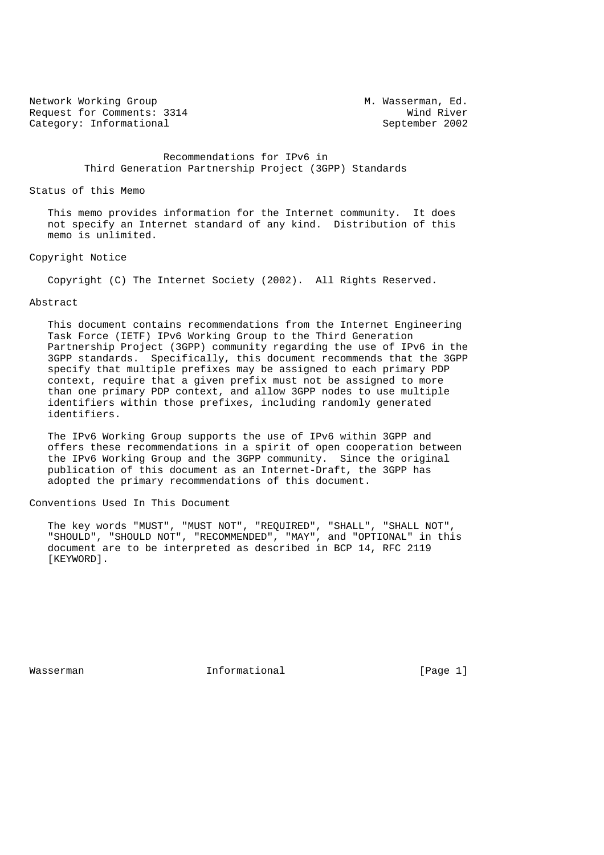Network Working Group Methods and M. Wasserman, Ed. Request for Comments: 3314 Wind River<br>
Category: Informational September 2002 Category: Informational

 Recommendations for IPv6 in Third Generation Partnership Project (3GPP) Standards

#### Status of this Memo

 This memo provides information for the Internet community. It does not specify an Internet standard of any kind. Distribution of this memo is unlimited.

#### Copyright Notice

Copyright (C) The Internet Society (2002). All Rights Reserved.

## Abstract

 This document contains recommendations from the Internet Engineering Task Force (IETF) IPv6 Working Group to the Third Generation Partnership Project (3GPP) community regarding the use of IPv6 in the 3GPP standards. Specifically, this document recommends that the 3GPP specify that multiple prefixes may be assigned to each primary PDP context, require that a given prefix must not be assigned to more than one primary PDP context, and allow 3GPP nodes to use multiple identifiers within those prefixes, including randomly generated identifiers.

 The IPv6 Working Group supports the use of IPv6 within 3GPP and offers these recommendations in a spirit of open cooperation between the IPv6 Working Group and the 3GPP community. Since the original publication of this document as an Internet-Draft, the 3GPP has adopted the primary recommendations of this document.

#### Conventions Used In This Document

 The key words "MUST", "MUST NOT", "REQUIRED", "SHALL", "SHALL NOT", "SHOULD", "SHOULD NOT", "RECOMMENDED", "MAY", and "OPTIONAL" in this document are to be interpreted as described in BCP 14, RFC 2119 [KEYWORD].

Wasserman **Informational** Informational [Page 1]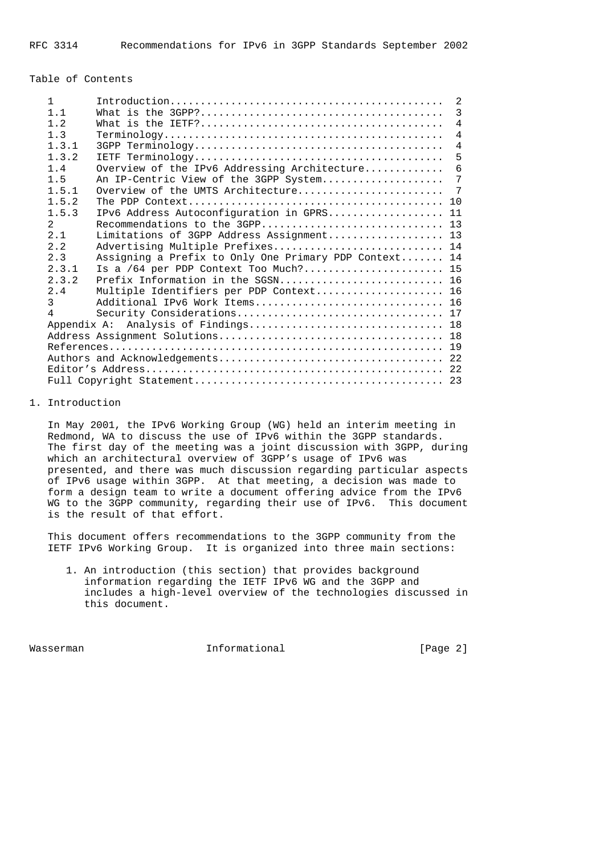#### Table of Contents

| $\mathbf{1}$  |           |                                                                                                         | $\mathcal{L}$  |
|---------------|-----------|---------------------------------------------------------------------------------------------------------|----------------|
|               | 1.1       |                                                                                                         | 3              |
|               | 1.2       | What is the $IETF? \ldots \ldots \ldots \ldots \ldots \ldots \ldots \ldots \ldots \ldots \ldots \ldots$ | $\overline{4}$ |
|               | 1.3       |                                                                                                         | $\overline{4}$ |
|               | 1.3.1     |                                                                                                         | $\overline{4}$ |
|               | 1.3.2     |                                                                                                         | 5              |
|               | 1.4       | Overview of the IPv6 Addressing Architecture                                                            | 6              |
|               | 1.5       | An IP-Centric View of the 3GPP System                                                                   | 7              |
|               | $1\,5\,1$ | Overview of the UMTS Architecture                                                                       | 7              |
|               | 1.5.2     |                                                                                                         |                |
|               | 1.5.3     | IPv6 Address Autoconfiguration in GPRS 11                                                               |                |
| $2^{\circ}$   |           |                                                                                                         |                |
|               | 2.1       | Limitations of 3GPP Address Assignment 13                                                               |                |
|               | 2.2       | Advertising Multiple Prefixes 14                                                                        |                |
|               | 2.3       | Assigning a Prefix to Only One Primary PDP Context 14                                                   |                |
|               | 2.3.1     | Is a /64 per PDP Context Too Much? 15                                                                   |                |
|               | 2.3.2     |                                                                                                         |                |
|               | 2.4       | Multiple Identifiers per PDP Context 16                                                                 |                |
| $\mathcal{E}$ |           | Additional IPv6 Work Items 16                                                                           |                |
| 4             |           |                                                                                                         |                |
|               |           |                                                                                                         |                |
|               |           |                                                                                                         |                |
|               |           |                                                                                                         |                |
|               |           |                                                                                                         |                |
|               |           |                                                                                                         |                |
|               |           |                                                                                                         |                |

### 1. Introduction

 In May 2001, the IPv6 Working Group (WG) held an interim meeting in Redmond, WA to discuss the use of IPv6 within the 3GPP standards. The first day of the meeting was a joint discussion with 3GPP, during which an architectural overview of 3GPP's usage of IPv6 was presented, and there was much discussion regarding particular aspects of IPv6 usage within 3GPP. At that meeting, a decision was made to form a design team to write a document offering advice from the IPv6 WG to the 3GPP community, regarding their use of IPv6. This document is the result of that effort.

 This document offers recommendations to the 3GPP community from the IETF IPv6 Working Group. It is organized into three main sections:

 1. An introduction (this section) that provides background information regarding the IETF IPv6 WG and the 3GPP and includes a high-level overview of the technologies discussed in this document.

Wasserman **Informational** Informational [Page 2]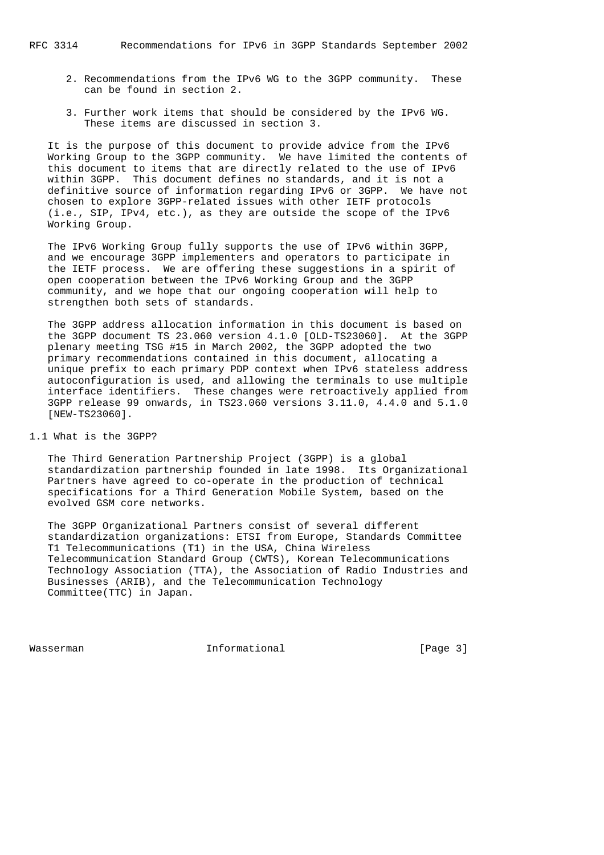- 2. Recommendations from the IPv6 WG to the 3GPP community. These can be found in section 2.
- 3. Further work items that should be considered by the IPv6 WG. These items are discussed in section 3.

 It is the purpose of this document to provide advice from the IPv6 Working Group to the 3GPP community. We have limited the contents of this document to items that are directly related to the use of IPv6 within 3GPP. This document defines no standards, and it is not a definitive source of information regarding IPv6 or 3GPP. We have not chosen to explore 3GPP-related issues with other IETF protocols (i.e., SIP, IPv4, etc.), as they are outside the scope of the IPv6 Working Group.

 The IPv6 Working Group fully supports the use of IPv6 within 3GPP, and we encourage 3GPP implementers and operators to participate in the IETF process. We are offering these suggestions in a spirit of open cooperation between the IPv6 Working Group and the 3GPP community, and we hope that our ongoing cooperation will help to strengthen both sets of standards.

 The 3GPP address allocation information in this document is based on the 3GPP document TS 23.060 version 4.1.0 [OLD-TS23060]. At the 3GPP plenary meeting TSG #15 in March 2002, the 3GPP adopted the two primary recommendations contained in this document, allocating a unique prefix to each primary PDP context when IPv6 stateless address autoconfiguration is used, and allowing the terminals to use multiple interface identifiers. These changes were retroactively applied from 3GPP release 99 onwards, in TS23.060 versions 3.11.0, 4.4.0 and 5.1.0 [NEW-TS23060].

#### 1.1 What is the 3GPP?

 The Third Generation Partnership Project (3GPP) is a global standardization partnership founded in late 1998. Its Organizational Partners have agreed to co-operate in the production of technical specifications for a Third Generation Mobile System, based on the evolved GSM core networks.

 The 3GPP Organizational Partners consist of several different standardization organizations: ETSI from Europe, Standards Committee T1 Telecommunications (T1) in the USA, China Wireless Telecommunication Standard Group (CWTS), Korean Telecommunications Technology Association (TTA), the Association of Radio Industries and Businesses (ARIB), and the Telecommunication Technology Committee(TTC) in Japan.

Wasserman **Informational Informational Informational** [Page 3]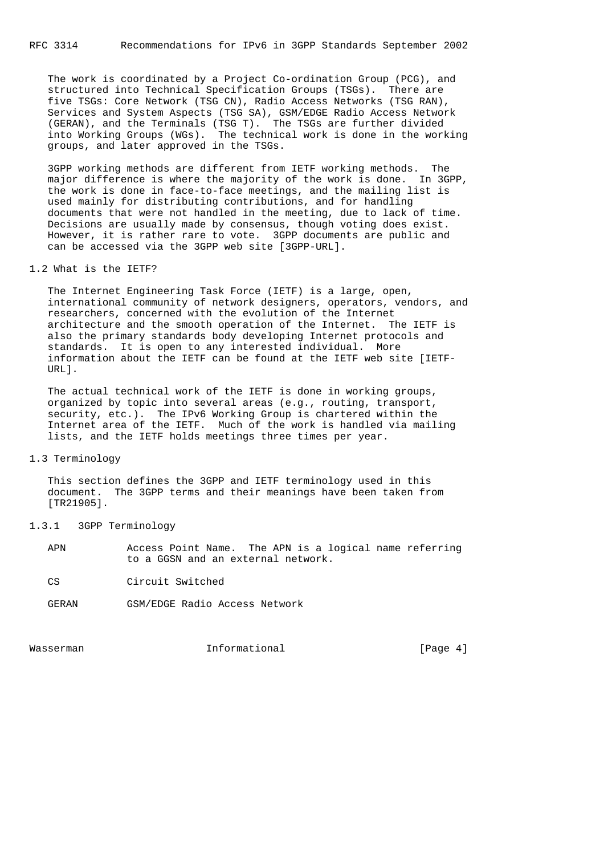RFC 3314 Recommendations for IPv6 in 3GPP Standards September 2002

 The work is coordinated by a Project Co-ordination Group (PCG), and structured into Technical Specification Groups (TSGs). There are five TSGs: Core Network (TSG CN), Radio Access Networks (TSG RAN), Services and System Aspects (TSG SA), GSM/EDGE Radio Access Network (GERAN), and the Terminals (TSG T). The TSGs are further divided into Working Groups (WGs). The technical work is done in the working groups, and later approved in the TSGs.

 3GPP working methods are different from IETF working methods. The major difference is where the majority of the work is done. In 3GPP, the work is done in face-to-face meetings, and the mailing list is used mainly for distributing contributions, and for handling documents that were not handled in the meeting, due to lack of time. Decisions are usually made by consensus, though voting does exist. However, it is rather rare to vote. 3GPP documents are public and can be accessed via the 3GPP web site [3GPP-URL].

### 1.2 What is the IETF?

 The Internet Engineering Task Force (IETF) is a large, open, international community of network designers, operators, vendors, and researchers, concerned with the evolution of the Internet architecture and the smooth operation of the Internet. The IETF is also the primary standards body developing Internet protocols and standards. It is open to any interested individual. More information about the IETF can be found at the IETF web site [IETF- URL].

 The actual technical work of the IETF is done in working groups, organized by topic into several areas (e.g., routing, transport, security, etc.). The IPv6 Working Group is chartered within the Internet area of the IETF. Much of the work is handled via mailing lists, and the IETF holds meetings three times per year.

# 1.3 Terminology

 This section defines the 3GPP and IETF terminology used in this document. The 3GPP terms and their meanings have been taken from [TR21905].

#### 1.3.1 3GPP Terminology

| APN |                                    |  |  |  |  | Access Point Name. The APN is a logical name referring |
|-----|------------------------------------|--|--|--|--|--------------------------------------------------------|
|     | to a GGSN and an external network. |  |  |  |  |                                                        |

CS Circuit Switched

GERAN GSM/EDGE Radio Access Network

Wasserman **Informational Informational Informational** [Page 4]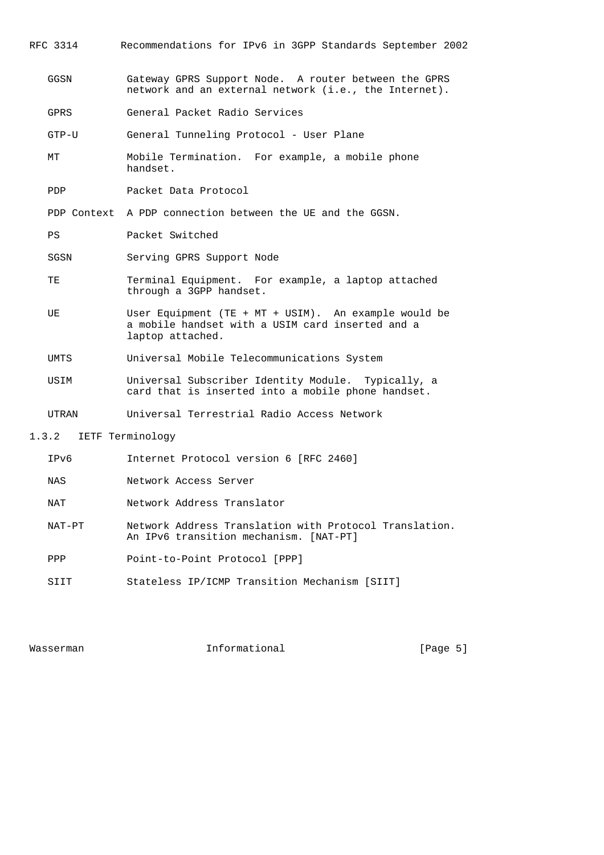RFC 3314 Recommendations for IPv6 in 3GPP Standards September 2002

- GGSN Gateway GPRS Support Node. A router between the GPRS network and an external network (i.e., the Internet).
- GPRS General Packet Radio Services
- GTP-U General Tunneling Protocol User Plane
- MT Mobile Termination. For example, a mobile phone handset.
- PDP Packet Data Protocol

PDP Context A PDP connection between the UE and the GGSN.

- PS Packet Switched
- SGSN Serving GPRS Support Node
- TE Terminal Equipment. For example, a laptop attached through a 3GPP handset.
- UE User Equipment (TE + MT + USIM). An example would be a mobile handset with a USIM card inserted and a laptop attached.
- UMTS Universal Mobile Telecommunications System
- USIM Universal Subscriber Identity Module. Typically, a card that is inserted into a mobile phone handset.
- UTRAN Universal Terrestrial Radio Access Network
- 1.3.2 IETF Terminology

| IPv6   | Internet Protocol version 6 [RFC 2460]                                                           |
|--------|--------------------------------------------------------------------------------------------------|
| NAS    | Network Access Server                                                                            |
| NAT    | Network Address Translator                                                                       |
| NAT-PT | Network Address Translation with Protocol Translation.<br>An IPv6 transition mechanism. [NAT-PT] |
| PPP    | Point-to-Point Protocol [PPP]                                                                    |
|        | Stateless IP/ICMP Transition Mechanism [SIIT]                                                    |

Wasserman **Informational** Informational [Page 5]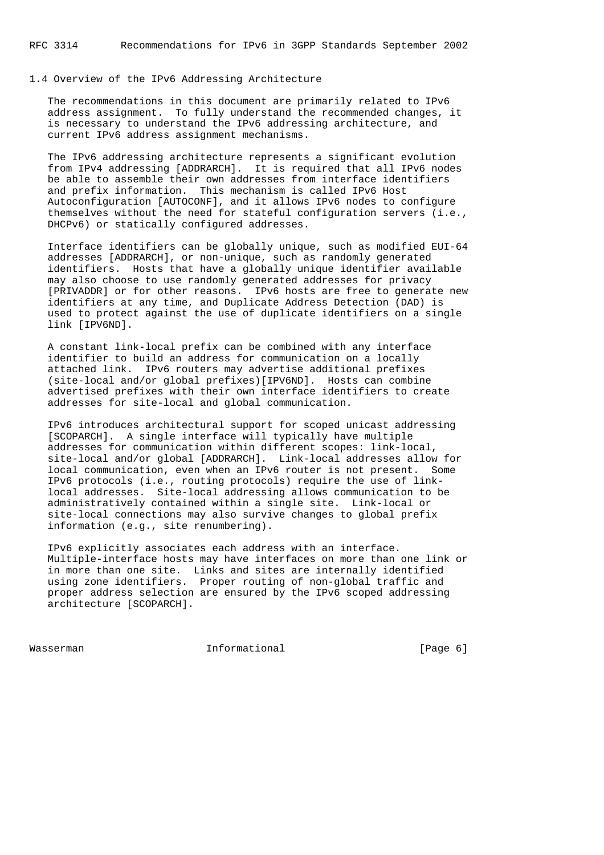### 1.4 Overview of the IPv6 Addressing Architecture

 The recommendations in this document are primarily related to IPv6 address assignment. To fully understand the recommended changes, it is necessary to understand the IPv6 addressing architecture, and current IPv6 address assignment mechanisms.

 The IPv6 addressing architecture represents a significant evolution from IPv4 addressing [ADDRARCH]. It is required that all IPv6 nodes be able to assemble their own addresses from interface identifiers and prefix information. This mechanism is called IPv6 Host Autoconfiguration [AUTOCONF], and it allows IPv6 nodes to configure themselves without the need for stateful configuration servers (i.e., DHCPv6) or statically configured addresses.

 Interface identifiers can be globally unique, such as modified EUI-64 addresses [ADDRARCH], or non-unique, such as randomly generated identifiers. Hosts that have a globally unique identifier available may also choose to use randomly generated addresses for privacy [PRIVADDR] or for other reasons. IPv6 hosts are free to generate new identifiers at any time, and Duplicate Address Detection (DAD) is used to protect against the use of duplicate identifiers on a single link [IPV6ND].

 A constant link-local prefix can be combined with any interface identifier to build an address for communication on a locally attached link. IPv6 routers may advertise additional prefixes (site-local and/or global prefixes)[IPV6ND]. Hosts can combine advertised prefixes with their own interface identifiers to create addresses for site-local and global communication.

 IPv6 introduces architectural support for scoped unicast addressing [SCOPARCH]. A single interface will typically have multiple addresses for communication within different scopes: link-local, site-local and/or global [ADDRARCH]. Link-local addresses allow for local communication, even when an IPv6 router is not present. Some IPv6 protocols (i.e., routing protocols) require the use of link local addresses. Site-local addressing allows communication to be administratively contained within a single site. Link-local or site-local connections may also survive changes to global prefix information (e.g., site renumbering).

 IPv6 explicitly associates each address with an interface. Multiple-interface hosts may have interfaces on more than one link or in more than one site. Links and sites are internally identified using zone identifiers. Proper routing of non-global traffic and proper address selection are ensured by the IPv6 scoped addressing architecture [SCOPARCH].

Wasserman **Informational Informational Informational** [Page 6]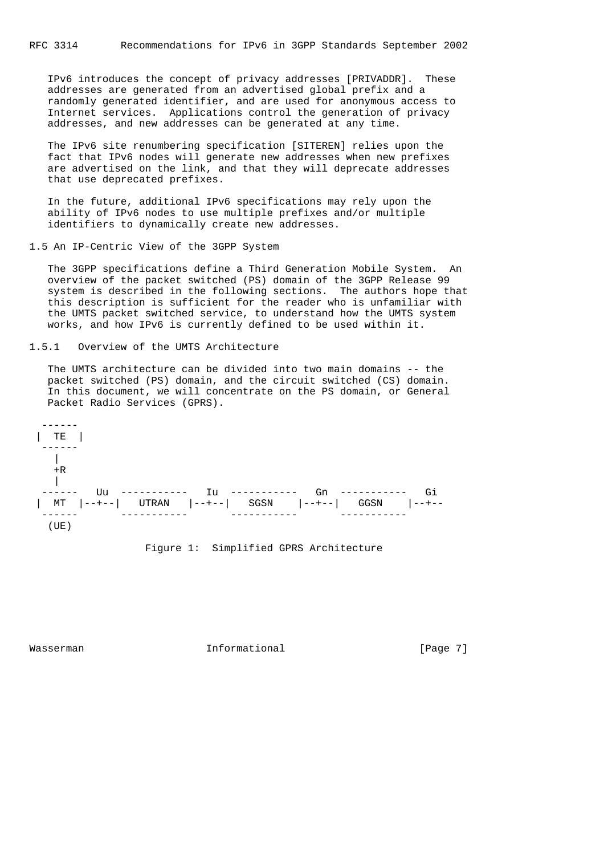IPv6 introduces the concept of privacy addresses [PRIVADDR]. These addresses are generated from an advertised global prefix and a randomly generated identifier, and are used for anonymous access to Internet services. Applications control the generation of privacy addresses, and new addresses can be generated at any time.

 The IPv6 site renumbering specification [SITEREN] relies upon the fact that IPv6 nodes will generate new addresses when new prefixes are advertised on the link, and that they will deprecate addresses that use deprecated prefixes.

 In the future, additional IPv6 specifications may rely upon the ability of IPv6 nodes to use multiple prefixes and/or multiple identifiers to dynamically create new addresses.

#### 1.5 An IP-Centric View of the 3GPP System

 The 3GPP specifications define a Third Generation Mobile System. An overview of the packet switched (PS) domain of the 3GPP Release 99 system is described in the following sections. The authors hope that this description is sufficient for the reader who is unfamiliar with the UMTS packet switched service, to understand how the UMTS system works, and how IPv6 is currently defined to be used within it.

#### 1.5.1 Overview of the UMTS Architecture

 The UMTS architecture can be divided into two main domains -- the packet switched (PS) domain, and the circuit switched (CS) domain. In this document, we will concentrate on the PS domain, or General Packet Radio Services (GPRS).



### Figure 1: Simplified GPRS Architecture

Wasserman **Informational Informational Informational** [Page 7]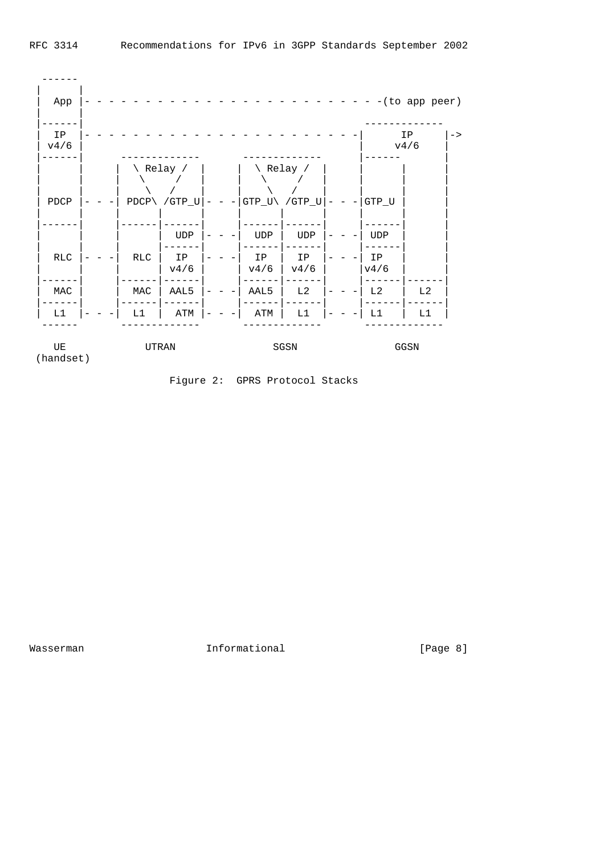

Figure 2: GPRS Protocol Stacks

Wasserman 101 Informational 100 Masserman [Page 8]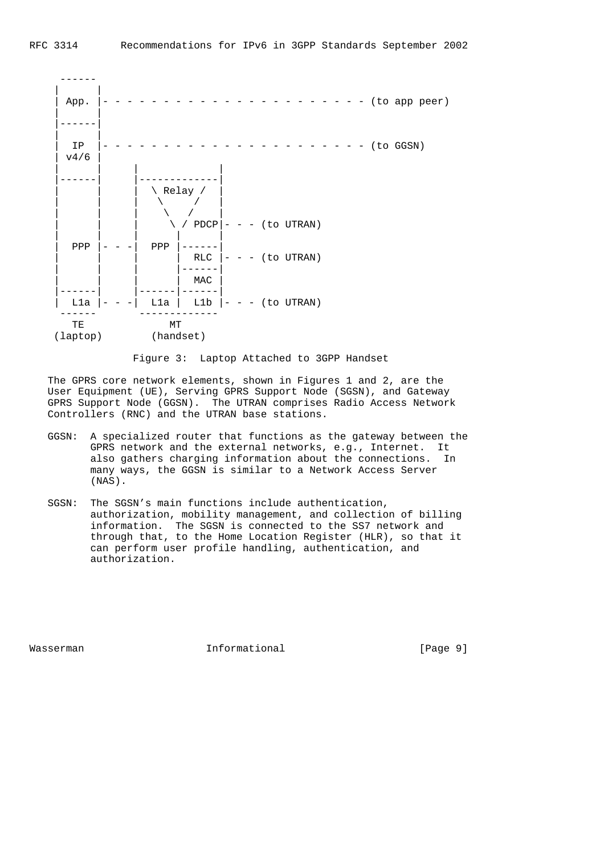

Figure 3: Laptop Attached to 3GPP Handset

 The GPRS core network elements, shown in Figures 1 and 2, are the User Equipment (UE), Serving GPRS Support Node (SGSN), and Gateway GPRS Support Node (GGSN). The UTRAN comprises Radio Access Network Controllers (RNC) and the UTRAN base stations.

- GGSN: A specialized router that functions as the gateway between the GPRS network and the external networks, e.g., Internet. It also gathers charging information about the connections. In many ways, the GGSN is similar to a Network Access Server (NAS).
- SGSN: The SGSN's main functions include authentication, authorization, mobility management, and collection of billing information. The SGSN is connected to the SS7 network and through that, to the Home Location Register (HLR), so that it can perform user profile handling, authentication, and authorization.

Wasserman **Informational** Informational [Page 9]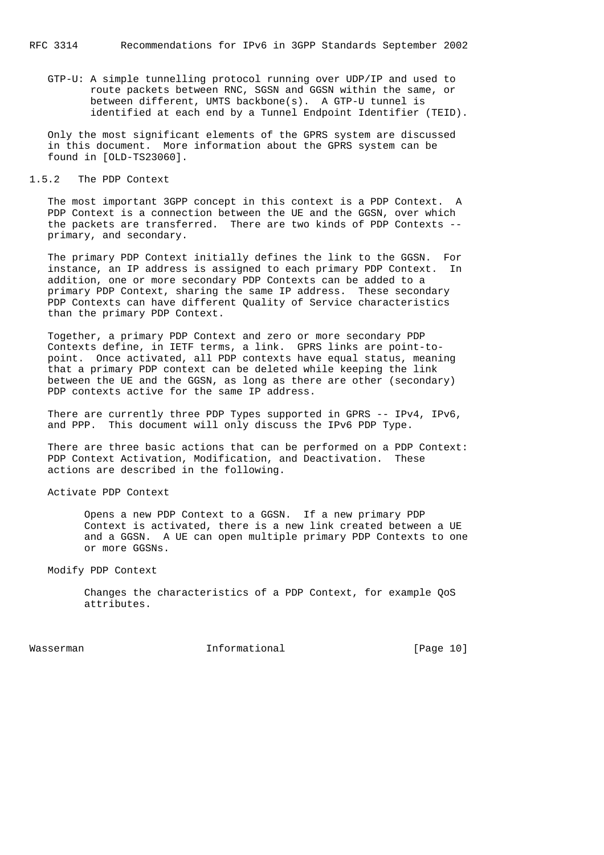GTP-U: A simple tunnelling protocol running over UDP/IP and used to route packets between RNC, SGSN and GGSN within the same, or between different, UMTS backbone(s). A GTP-U tunnel is identified at each end by a Tunnel Endpoint Identifier (TEID).

 Only the most significant elements of the GPRS system are discussed in this document. More information about the GPRS system can be found in [OLD-TS23060].

#### 1.5.2 The PDP Context

 The most important 3GPP concept in this context is a PDP Context. A PDP Context is a connection between the UE and the GGSN, over which the packets are transferred. There are two kinds of PDP Contexts - primary, and secondary.

 The primary PDP Context initially defines the link to the GGSN. For instance, an IP address is assigned to each primary PDP Context. In addition, one or more secondary PDP Contexts can be added to a primary PDP Context, sharing the same IP address. These secondary PDP Contexts can have different Quality of Service characteristics than the primary PDP Context.

 Together, a primary PDP Context and zero or more secondary PDP Contexts define, in IETF terms, a link. GPRS links are point-to point. Once activated, all PDP contexts have equal status, meaning that a primary PDP context can be deleted while keeping the link between the UE and the GGSN, as long as there are other (secondary) PDP contexts active for the same IP address.

There are currently three PDP Types supported in GPRS -- IPv4, IPv6, and PPP. This document will only discuss the IPv6 PDP Type.

 There are three basic actions that can be performed on a PDP Context: PDP Context Activation, Modification, and Deactivation. These actions are described in the following.

Activate PDP Context

 Opens a new PDP Context to a GGSN. If a new primary PDP Context is activated, there is a new link created between a UE and a GGSN. A UE can open multiple primary PDP Contexts to one or more GGSNs.

Modify PDP Context

 Changes the characteristics of a PDP Context, for example QoS attributes.

Wasserman Informational [Page 10]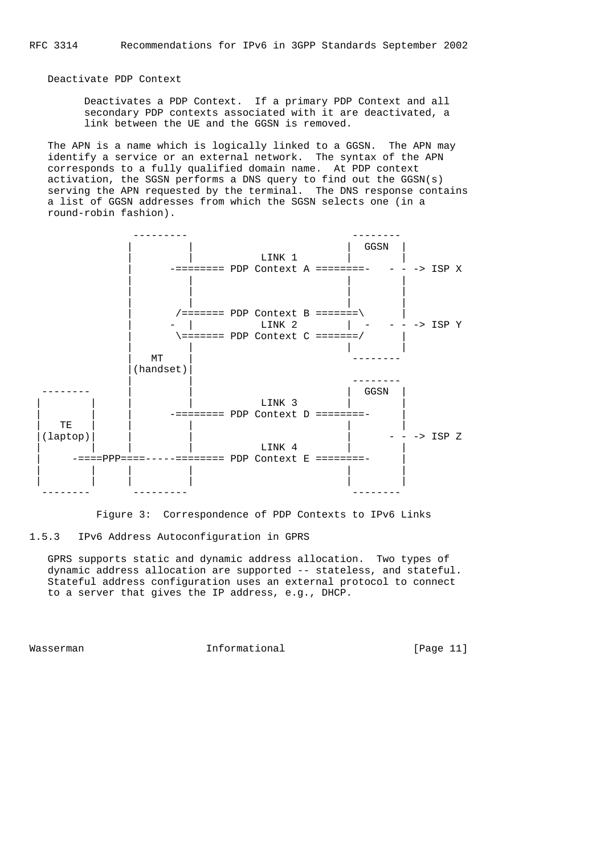Deactivate PDP Context

 Deactivates a PDP Context. If a primary PDP Context and all secondary PDP contexts associated with it are deactivated, a link between the UE and the GGSN is removed.

 The APN is a name which is logically linked to a GGSN. The APN may identify a service or an external network. The syntax of the APN corresponds to a fully qualified domain name. At PDP context activation, the SGSN performs a DNS query to find out the GGSN(s) serving the APN requested by the terminal. The DNS response contains a list of GGSN addresses from which the SGSN selects one (in a round-robin fashion).



Figure 3: Correspondence of PDP Contexts to IPv6 Links

# 1.5.3 IPv6 Address Autoconfiguration in GPRS

 GPRS supports static and dynamic address allocation. Two types of dynamic address allocation are supported -- stateless, and stateful. Stateful address configuration uses an external protocol to connect to a server that gives the IP address, e.g., DHCP.

Wasserman **Informational** Informational [Page 11]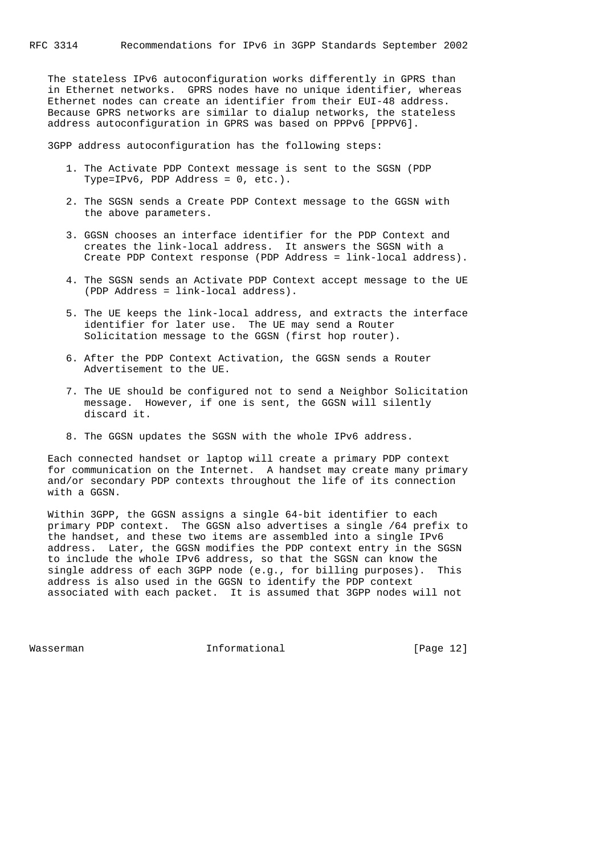The stateless IPv6 autoconfiguration works differently in GPRS than in Ethernet networks. GPRS nodes have no unique identifier, whereas Ethernet nodes can create an identifier from their EUI-48 address. Because GPRS networks are similar to dialup networks, the stateless address autoconfiguration in GPRS was based on PPPv6 [PPPV6].

3GPP address autoconfiguration has the following steps:

- 1. The Activate PDP Context message is sent to the SGSN (PDP Type=IPv6, PDP Address = 0, etc.).
- 2. The SGSN sends a Create PDP Context message to the GGSN with the above parameters.
- 3. GGSN chooses an interface identifier for the PDP Context and creates the link-local address. It answers the SGSN with a Create PDP Context response (PDP Address = link-local address).
- 4. The SGSN sends an Activate PDP Context accept message to the UE (PDP Address = link-local address).
- 5. The UE keeps the link-local address, and extracts the interface identifier for later use. The UE may send a Router Solicitation message to the GGSN (first hop router).
- 6. After the PDP Context Activation, the GGSN sends a Router Advertisement to the UE.
- 7. The UE should be configured not to send a Neighbor Solicitation message. However, if one is sent, the GGSN will silently discard it.
- 8. The GGSN updates the SGSN with the whole IPv6 address.

 Each connected handset or laptop will create a primary PDP context for communication on the Internet. A handset may create many primary and/or secondary PDP contexts throughout the life of its connection with a GGSN.

 Within 3GPP, the GGSN assigns a single 64-bit identifier to each primary PDP context. The GGSN also advertises a single /64 prefix to the handset, and these two items are assembled into a single IPv6 address. Later, the GGSN modifies the PDP context entry in the SGSN to include the whole IPv6 address, so that the SGSN can know the single address of each 3GPP node (e.g., for billing purposes). This address is also used in the GGSN to identify the PDP context associated with each packet. It is assumed that 3GPP nodes will not

Wasserman Informational [Page 12]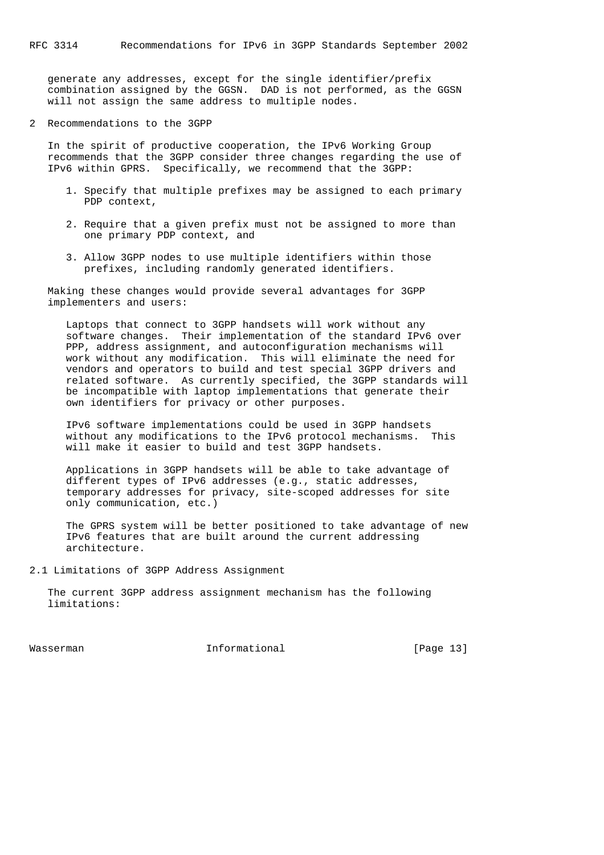generate any addresses, except for the single identifier/prefix combination assigned by the GGSN. DAD is not performed, as the GGSN will not assign the same address to multiple nodes.

2 Recommendations to the 3GPP

 In the spirit of productive cooperation, the IPv6 Working Group recommends that the 3GPP consider three changes regarding the use of IPv6 within GPRS. Specifically, we recommend that the 3GPP:

- 1. Specify that multiple prefixes may be assigned to each primary PDP context,
- 2. Require that a given prefix must not be assigned to more than one primary PDP context, and
- 3. Allow 3GPP nodes to use multiple identifiers within those prefixes, including randomly generated identifiers.

 Making these changes would provide several advantages for 3GPP implementers and users:

 Laptops that connect to 3GPP handsets will work without any software changes. Their implementation of the standard IPv6 over PPP, address assignment, and autoconfiguration mechanisms will work without any modification. This will eliminate the need for vendors and operators to build and test special 3GPP drivers and related software. As currently specified, the 3GPP standards will be incompatible with laptop implementations that generate their own identifiers for privacy or other purposes.

 IPv6 software implementations could be used in 3GPP handsets without any modifications to the IPv6 protocol mechanisms. This will make it easier to build and test 3GPP handsets.

 Applications in 3GPP handsets will be able to take advantage of different types of IPv6 addresses (e.g., static addresses, temporary addresses for privacy, site-scoped addresses for site only communication, etc.)

 The GPRS system will be better positioned to take advantage of new IPv6 features that are built around the current addressing architecture.

2.1 Limitations of 3GPP Address Assignment

 The current 3GPP address assignment mechanism has the following limitations:

Wasserman Informational [Page 13]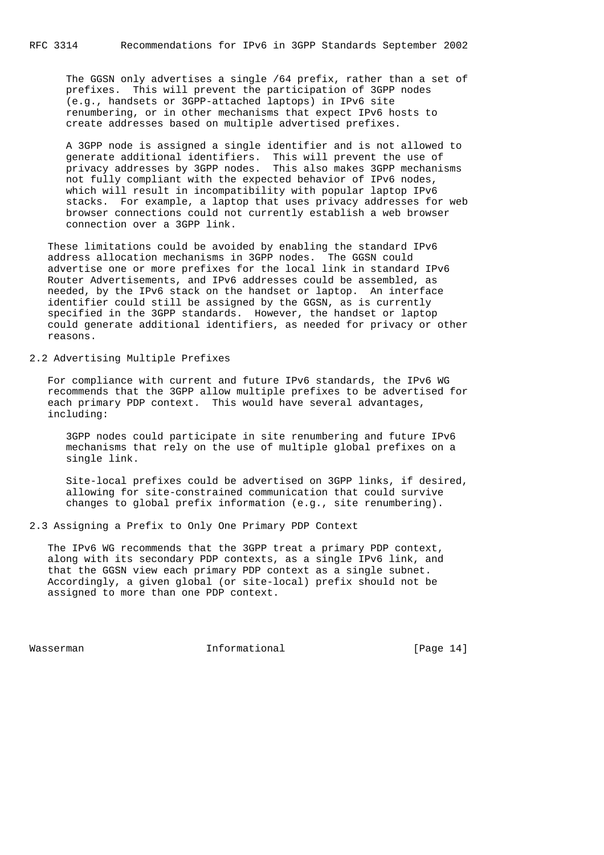The GGSN only advertises a single /64 prefix, rather than a set of prefixes. This will prevent the participation of 3GPP nodes (e.g., handsets or 3GPP-attached laptops) in IPv6 site renumbering, or in other mechanisms that expect IPv6 hosts to create addresses based on multiple advertised prefixes.

 A 3GPP node is assigned a single identifier and is not allowed to generate additional identifiers. This will prevent the use of privacy addresses by 3GPP nodes. This also makes 3GPP mechanisms not fully compliant with the expected behavior of IPv6 nodes, which will result in incompatibility with popular laptop IPv6 stacks. For example, a laptop that uses privacy addresses for web browser connections could not currently establish a web browser connection over a 3GPP link.

 These limitations could be avoided by enabling the standard IPv6 address allocation mechanisms in 3GPP nodes. The GGSN could advertise one or more prefixes for the local link in standard IPv6 Router Advertisements, and IPv6 addresses could be assembled, as needed, by the IPv6 stack on the handset or laptop. An interface identifier could still be assigned by the GGSN, as is currently specified in the 3GPP standards. However, the handset or laptop could generate additional identifiers, as needed for privacy or other reasons.

2.2 Advertising Multiple Prefixes

 For compliance with current and future IPv6 standards, the IPv6 WG recommends that the 3GPP allow multiple prefixes to be advertised for each primary PDP context. This would have several advantages, including:

 3GPP nodes could participate in site renumbering and future IPv6 mechanisms that rely on the use of multiple global prefixes on a single link.

 Site-local prefixes could be advertised on 3GPP links, if desired, allowing for site-constrained communication that could survive changes to global prefix information (e.g., site renumbering).

2.3 Assigning a Prefix to Only One Primary PDP Context

 The IPv6 WG recommends that the 3GPP treat a primary PDP context, along with its secondary PDP contexts, as a single IPv6 link, and that the GGSN view each primary PDP context as a single subnet. Accordingly, a given global (or site-local) prefix should not be assigned to more than one PDP context.

Wasserman Informational [Page 14]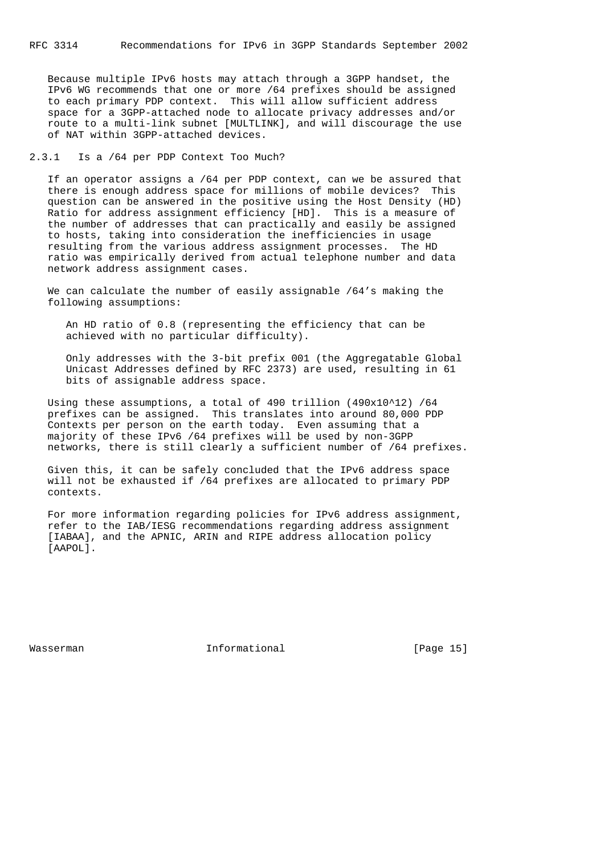Because multiple IPv6 hosts may attach through a 3GPP handset, the IPv6 WG recommends that one or more /64 prefixes should be assigned to each primary PDP context. This will allow sufficient address space for a 3GPP-attached node to allocate privacy addresses and/or route to a multi-link subnet [MULTLINK], and will discourage the use of NAT within 3GPP-attached devices.

# 2.3.1 Is a /64 per PDP Context Too Much?

 If an operator assigns a /64 per PDP context, can we be assured that there is enough address space for millions of mobile devices? This question can be answered in the positive using the Host Density (HD) Ratio for address assignment efficiency [HD]. This is a measure of the number of addresses that can practically and easily be assigned to hosts, taking into consideration the inefficiencies in usage resulting from the various address assignment processes. The HD ratio was empirically derived from actual telephone number and data network address assignment cases.

 We can calculate the number of easily assignable /64's making the following assumptions:

 An HD ratio of 0.8 (representing the efficiency that can be achieved with no particular difficulty).

 Only addresses with the 3-bit prefix 001 (the Aggregatable Global Unicast Addresses defined by RFC 2373) are used, resulting in 61 bits of assignable address space.

 Using these assumptions, a total of 490 trillion (490x10^12) /64 prefixes can be assigned. This translates into around 80,000 PDP Contexts per person on the earth today. Even assuming that a majority of these IPv6 /64 prefixes will be used by non-3GPP networks, there is still clearly a sufficient number of /64 prefixes.

 Given this, it can be safely concluded that the IPv6 address space will not be exhausted if /64 prefixes are allocated to primary PDP contexts.

 For more information regarding policies for IPv6 address assignment, refer to the IAB/IESG recommendations regarding address assignment [IABAA], and the APNIC, ARIN and RIPE address allocation policy [AAPOL].

Wasserman **Informational** Informational [Page 15]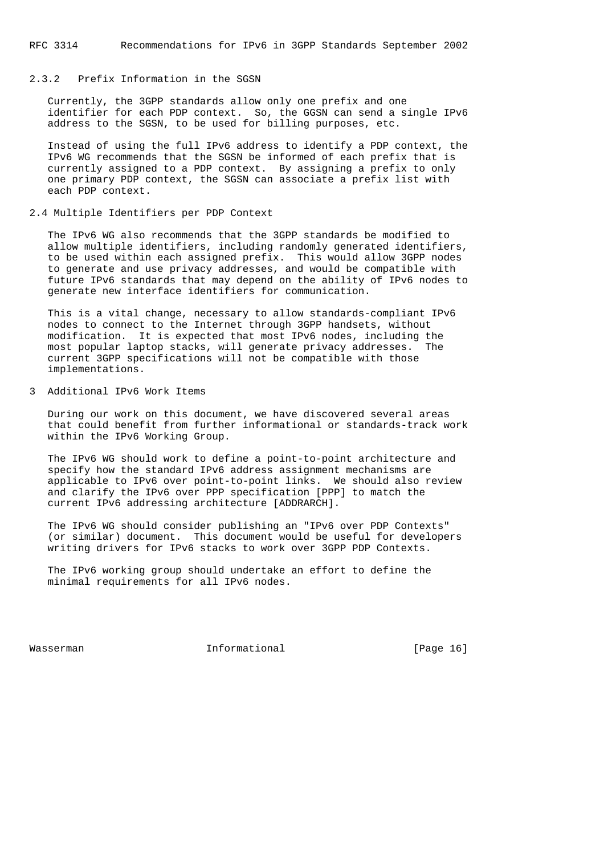### 2.3.2 Prefix Information in the SGSN

 Currently, the 3GPP standards allow only one prefix and one identifier for each PDP context. So, the GGSN can send a single IPv6 address to the SGSN, to be used for billing purposes, etc.

 Instead of using the full IPv6 address to identify a PDP context, the IPv6 WG recommends that the SGSN be informed of each prefix that is currently assigned to a PDP context. By assigning a prefix to only one primary PDP context, the SGSN can associate a prefix list with each PDP context.

#### 2.4 Multiple Identifiers per PDP Context

 The IPv6 WG also recommends that the 3GPP standards be modified to allow multiple identifiers, including randomly generated identifiers, to be used within each assigned prefix. This would allow 3GPP nodes to generate and use privacy addresses, and would be compatible with future IPv6 standards that may depend on the ability of IPv6 nodes to generate new interface identifiers for communication.

 This is a vital change, necessary to allow standards-compliant IPv6 nodes to connect to the Internet through 3GPP handsets, without modification. It is expected that most IPv6 nodes, including the most popular laptop stacks, will generate privacy addresses. The current 3GPP specifications will not be compatible with those implementations.

# 3 Additional IPv6 Work Items

 During our work on this document, we have discovered several areas that could benefit from further informational or standards-track work within the IPv6 Working Group.

 The IPv6 WG should work to define a point-to-point architecture and specify how the standard IPv6 address assignment mechanisms are applicable to IPv6 over point-to-point links. We should also review and clarify the IPv6 over PPP specification [PPP] to match the current IPv6 addressing architecture [ADDRARCH].

 The IPv6 WG should consider publishing an "IPv6 over PDP Contexts" (or similar) document. This document would be useful for developers writing drivers for IPv6 stacks to work over 3GPP PDP Contexts.

 The IPv6 working group should undertake an effort to define the minimal requirements for all IPv6 nodes.

Wasserman **Informational** Informational [Page 16]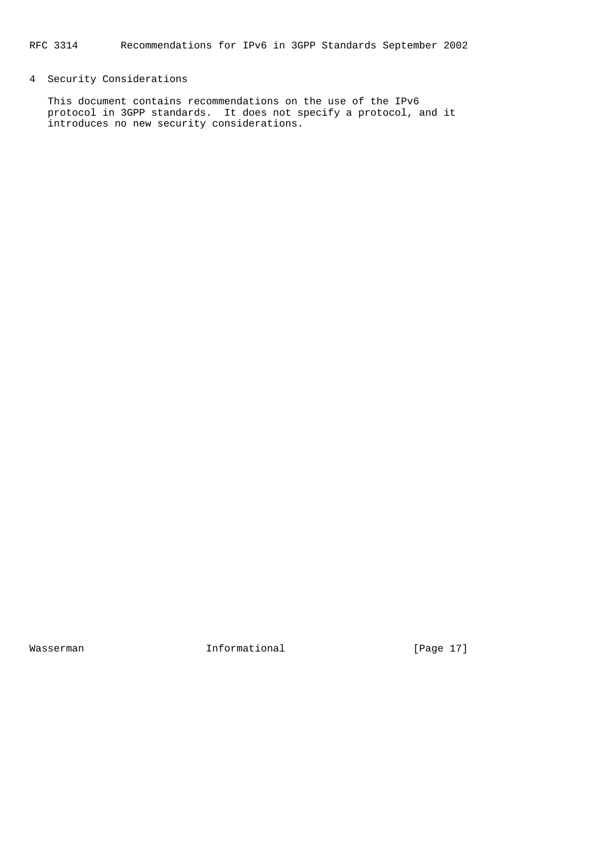# 4 Security Considerations

 This document contains recommendations on the use of the IPv6 protocol in 3GPP standards. It does not specify a protocol, and it introduces no new security considerations.

Wasserman 1nformational 1999 [Page 17]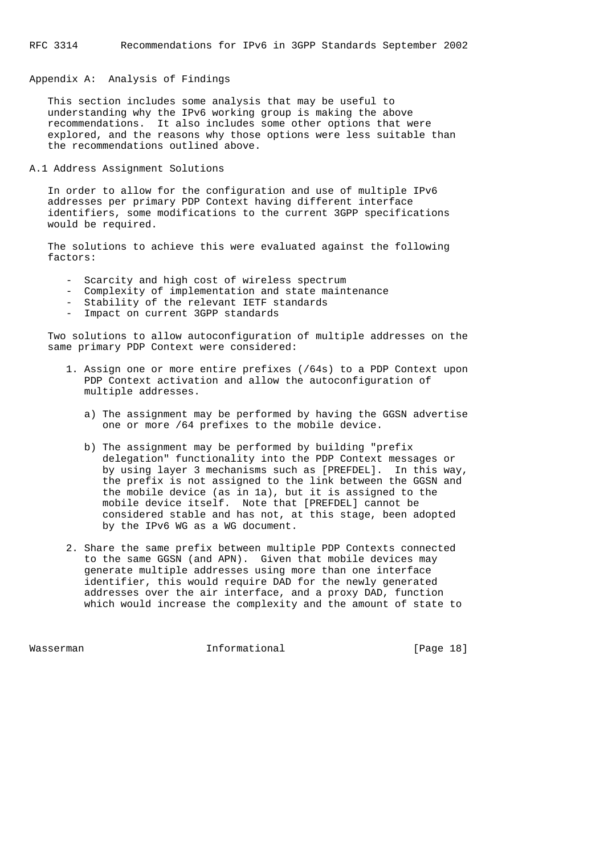# Appendix A: Analysis of Findings

 This section includes some analysis that may be useful to understanding why the IPv6 working group is making the above recommendations. It also includes some other options that were explored, and the reasons why those options were less suitable than the recommendations outlined above.

A.1 Address Assignment Solutions

 In order to allow for the configuration and use of multiple IPv6 addresses per primary PDP Context having different interface identifiers, some modifications to the current 3GPP specifications would be required.

 The solutions to achieve this were evaluated against the following factors:

- Scarcity and high cost of wireless spectrum
- Complexity of implementation and state maintenance
- Stability of the relevant IETF standards
	- Impact on current 3GPP standards

 Two solutions to allow autoconfiguration of multiple addresses on the same primary PDP Context were considered:

- 1. Assign one or more entire prefixes (/64s) to a PDP Context upon PDP Context activation and allow the autoconfiguration of multiple addresses.
	- a) The assignment may be performed by having the GGSN advertise one or more /64 prefixes to the mobile device.
	- b) The assignment may be performed by building "prefix delegation" functionality into the PDP Context messages or by using layer 3 mechanisms such as [PREFDEL]. In this way, the prefix is not assigned to the link between the GGSN and the mobile device (as in 1a), but it is assigned to the mobile device itself. Note that [PREFDEL] cannot be considered stable and has not, at this stage, been adopted by the IPv6 WG as a WG document.
- 2. Share the same prefix between multiple PDP Contexts connected to the same GGSN (and APN). Given that mobile devices may generate multiple addresses using more than one interface identifier, this would require DAD for the newly generated addresses over the air interface, and a proxy DAD, function which would increase the complexity and the amount of state to

Wasserman **Informational** Informational [Page 18]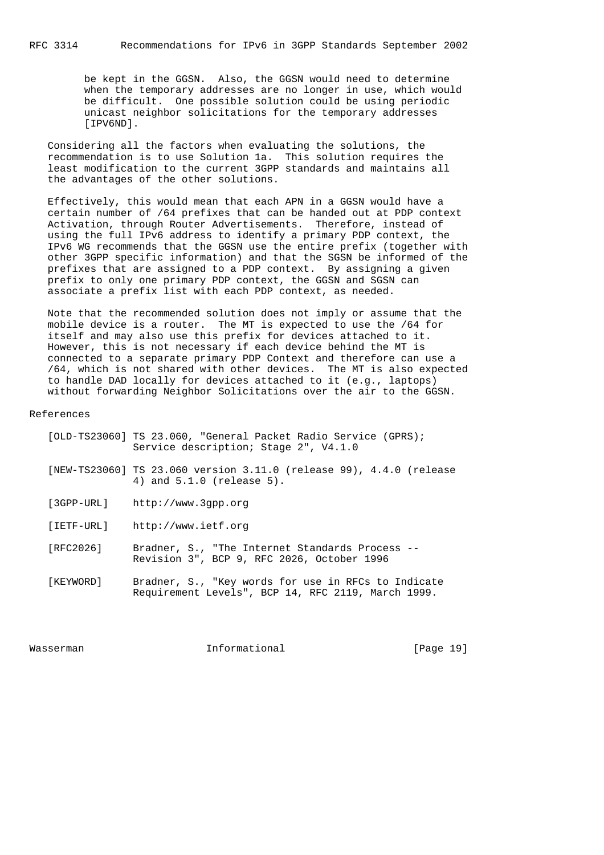be kept in the GGSN. Also, the GGSN would need to determine when the temporary addresses are no longer in use, which would be difficult. One possible solution could be using periodic unicast neighbor solicitations for the temporary addresses [IPV6ND].

 Considering all the factors when evaluating the solutions, the recommendation is to use Solution 1a. This solution requires the least modification to the current 3GPP standards and maintains all the advantages of the other solutions.

 Effectively, this would mean that each APN in a GGSN would have a certain number of /64 prefixes that can be handed out at PDP context Activation, through Router Advertisements. Therefore, instead of using the full IPv6 address to identify a primary PDP context, the IPv6 WG recommends that the GGSN use the entire prefix (together with other 3GPP specific information) and that the SGSN be informed of the prefixes that are assigned to a PDP context. By assigning a given prefix to only one primary PDP context, the GGSN and SGSN can associate a prefix list with each PDP context, as needed.

 Note that the recommended solution does not imply or assume that the mobile device is a router. The MT is expected to use the /64 for itself and may also use this prefix for devices attached to it. However, this is not necessary if each device behind the MT is connected to a separate primary PDP Context and therefore can use a /64, which is not shared with other devices. The MT is also expected to handle DAD locally for devices attached to it (e.g., laptops) without forwarding Neighbor Solicitations over the air to the GGSN.

### References

|            | [OLD-TS23060] TS 23.060, "General Packet Radio Service (GPRS);<br>Service description; Stage 2", V4.1.0 |
|------------|---------------------------------------------------------------------------------------------------------|
|            | [NEW-TS23060] TS 23.060 version 3.11.0 (release 99), 4.4.0 (release<br>4) and $5.1.0$ (release $5$ ).   |
| [3GPP-URL] | http://www.3qpp.org                                                                                     |
| [IETF-URL] | http://www.ietf.org                                                                                     |
| [RFC2026]  | Bradner, S., "The Internet Standards Process --<br>Revision 3", BCP 9, RFC 2026, October 1996           |
| [KEYWORD]  | Bradner, S., "Key words for use in RFCs to Indicate                                                     |

Wasserman Informational [Page 19]

Requirement Levels", BCP 14, RFC 2119, March 1999.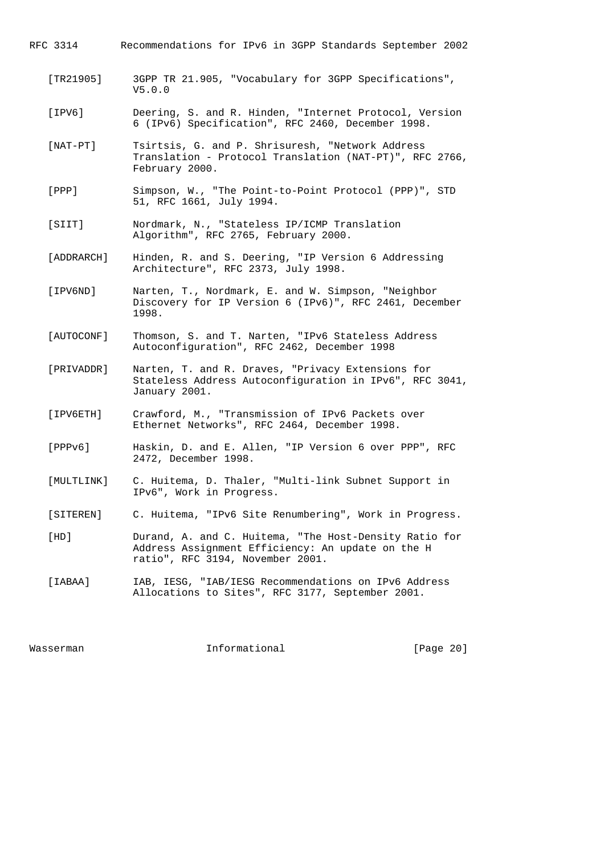| RFC 3314       | Recommendations for IPv6 in 3GPP Standards September 2002                                                                                       |
|----------------|-------------------------------------------------------------------------------------------------------------------------------------------------|
| $[TR21905]$    | 3GPP TR 21.905, "Vocabulary for 3GPP Specifications",<br>V5.0.0                                                                                 |
| [ IPV6 ]       | Deering, S. and R. Hinden, "Internet Protocol, Version<br>6 (IPv6) Specification", RFC 2460, December 1998.                                     |
| $[$ NAT-PT $]$ | Tsirtsis, G. and P. Shrisuresh, "Network Address<br>Translation - Protocol Translation (NAT-PT)", RFC 2766,<br>February 2000.                   |
| $[$ PPP $]$    | Simpson, W., "The Point-to-Point Protocol (PPP)", STD<br>51, RFC 1661, July 1994.                                                               |
| [SIIT]         | Nordmark, N., "Stateless IP/ICMP Translation<br>Algorithm", RFC 2765, February 2000.                                                            |
| [ADDRARCH]     | Hinden, R. and S. Deering, "IP Version 6 Addressing<br>Architecture", RFC 2373, July 1998.                                                      |
| [IPV6ND]       | Narten, T., Nordmark, E. and W. Simpson, "Neighbor<br>Discovery for IP Version 6 (IPv6)", RFC 2461, December<br>1998.                           |
| [AUTOCONF]     | Thomson, S. and T. Narten, "IPv6 Stateless Address<br>Autoconfiguration", RFC 2462, December 1998                                               |
| [PRIVADDR]     | Narten, T. and R. Draves, "Privacy Extensions for<br>Stateless Address Autoconfiguration in IPv6", RFC 3041,<br>January 2001.                   |
| [IPV6ETH]      | Crawford, M., "Transmission of IPv6 Packets over<br>Ethernet Networks", RFC 2464, December 1998.                                                |
| [PPPV6]        | Haskin, D. and E. Allen, "IP Version 6 over PPP", RFC<br>2472, December 1998.                                                                   |
| [MULTLINK]     | C. Huitema, D. Thaler, "Multi-link Subnet Support in<br>IPv6", Work in Progress.                                                                |
| [SITEREN]      | C. Huitema, "IPv6 Site Renumbering", Work in Progress.                                                                                          |
| [HD]           | Durand, A. and C. Huitema, "The Host-Density Ratio for<br>Address Assignment Efficiency: An update on the H<br>ratio", RFC 3194, November 2001. |
| [IABAA]        | IAB, IESG, "IAB/IESG Recommendations on IPv6 Address<br>Allocations to Sites", RFC 3177, September 2001.                                        |
|                |                                                                                                                                                 |

Wasserman 1nformational 1999 [Page 20]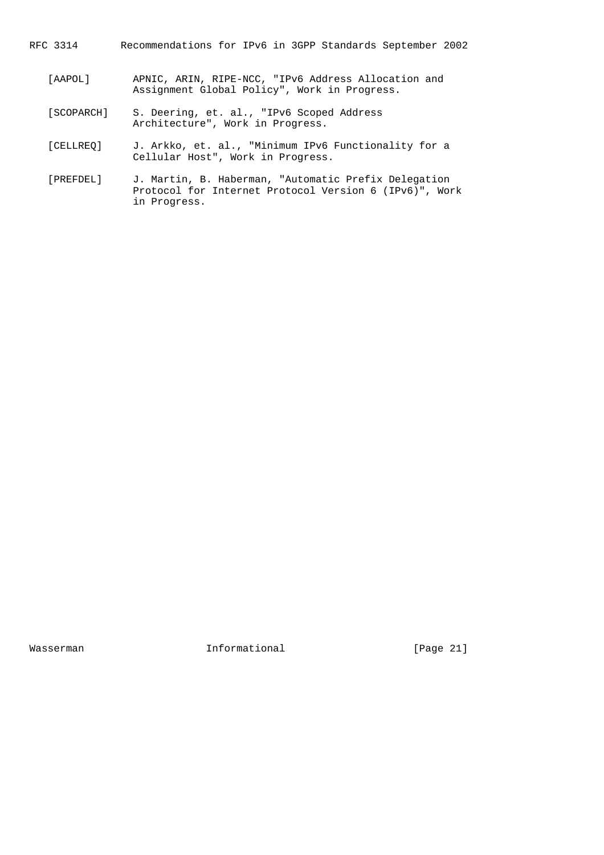- RFC 3314 Recommendations for IPv6 in 3GPP Standards September 2002
	- [AAPOL] APNIC, ARIN, RIPE-NCC, "IPv6 Address Allocation and Assignment Global Policy", Work in Progress.
	- [SCOPARCH] S. Deering, et. al., "IPv6 Scoped Address Architecture", Work in Progress.
	- [CELLREQ] J. Arkko, et. al., "Minimum IPv6 Functionality for a Cellular Host", Work in Progress.
	- [PREFDEL] J. Martin, B. Haberman, "Automatic Prefix Delegation Protocol for Internet Protocol Version 6 (IPv6)", Work in Progress.

Wasserman 1nformational 1999 [Page 21]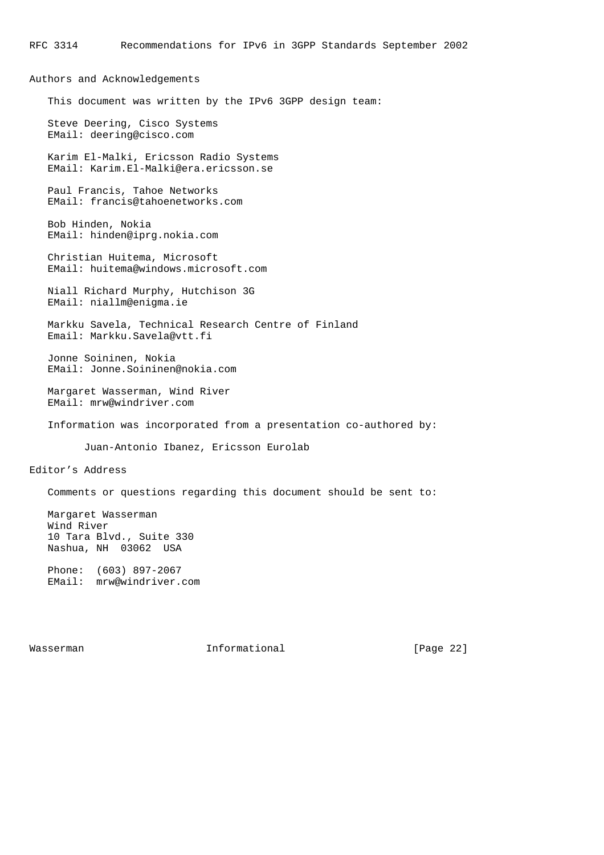Authors and Acknowledgements This document was written by the IPv6 3GPP design team: Steve Deering, Cisco Systems EMail: deering@cisco.com Karim El-Malki, Ericsson Radio Systems EMail: Karim.El-Malki@era.ericsson.se Paul Francis, Tahoe Networks EMail: francis@tahoenetworks.com Bob Hinden, Nokia EMail: hinden@iprg.nokia.com Christian Huitema, Microsoft EMail: huitema@windows.microsoft.com Niall Richard Murphy, Hutchison 3G EMail: niallm@enigma.ie Markku Savela, Technical Research Centre of Finland Email: Markku.Savela@vtt.fi Jonne Soininen, Nokia EMail: Jonne.Soininen@nokia.com Margaret Wasserman, Wind River EMail: mrw@windriver.com Information was incorporated from a presentation co-authored by: Juan-Antonio Ibanez, Ericsson Eurolab Editor's Address Comments or questions regarding this document should be sent to: Margaret Wasserman Wind River 10 Tara Blvd., Suite 330 Nashua, NH 03062 USA Phone: (603) 897-2067 EMail: mrw@windriver.com

Wasserman Informational [Page 22]